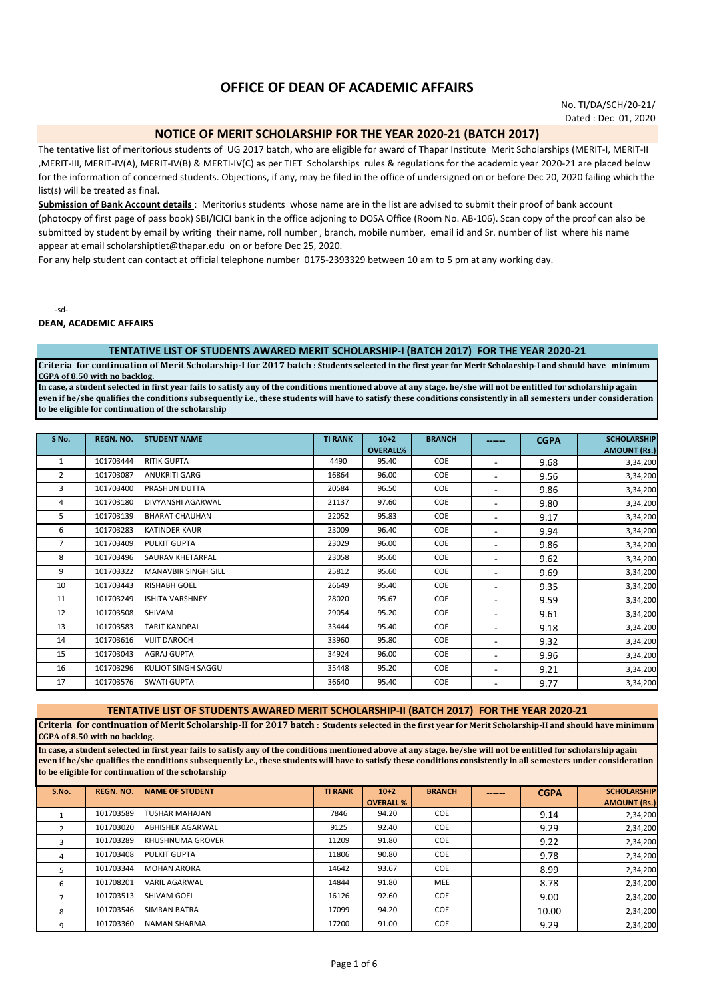# **OFFICE OF DEAN OF ACADEMIC AFFAIRS**

No. TI/DA/SCH/20-21/ Dated : Dec 01, 2020

# **NOTICE OF MERIT SCHOLARSHIP FOR THE YEAR 2020-21 (BATCH 2017)**

The tentative list of meritorious students of UG 2017 batch, who are eligible for award of Thapar Institute Merit Scholarships (MERIT-I, MERIT-II ,MERIT-III, MERIT-IV(A), MERIT-IV(B) & MERTI-IV(C) as per TIET Scholarships rules & regulations for the academic year 2020-21 are placed below for the information of concerned students. Objections, if any, may be filed in the office of undersigned on or before Dec 20, 2020 failing which the list(s) will be treated as final.

**Submission of Bank Account details** : Meritorius students whose name are in the list are advised to submit their proof of bank account (photocpy of first page of pass book) SBI/ICICI bank in the office adjoning to DOSA Office (Room No. AB-106). Scan copy of the proof can also be submitted by student by email by writing their name, roll number , branch, mobile number, email id and Sr. number of list where his name appear at email scholarshiptiet@thapar.edu on or before Dec 25, 2020.

For any help student can contact at official telephone number 0175-2393329 between 10 am to 5 pm at any working day.

-sd-

**DEAN, ACADEMIC AFFAIRS**

#### **TENTATIVE LIST OF STUDENTS AWARED MERIT SCHOLARSHIP-I (BATCH 2017) FOR THE YEAR 2020-21**

**Criteria for continuation of Merit Scholarship-I for 2017 batch : Students selected in the first year for Merit Scholarship-I and should have minimum CGPA of 8.50 with no backlog.**

**In case, a student selected in first year fails to satisfy any of the conditions mentioned above at any stage, he/she will not be entitled for scholarship again even if he/she qualifies the conditions subsequently i.e., these students will have to satisfy these conditions consistently in all semesters under consideration to be eligible for continuation of the scholarship**

| S No. | REGN. NO. | <b>STUDENT NAME</b>        | <b>TI RANK</b> | $10+2$          | <b>BRANCH</b> | ------                   | <b>CGPA</b> | <b>SCHOLARSHIP</b>  |
|-------|-----------|----------------------------|----------------|-----------------|---------------|--------------------------|-------------|---------------------|
|       |           |                            |                | <b>OVERALL%</b> |               |                          |             | <b>AMOUNT (Rs.)</b> |
| 1     | 101703444 | <b>RITIK GUPTA</b>         | 4490           | 95.40           | COE           | ٠                        | 9.68        | 3,34,200            |
| 2     | 101703087 | <b>ANUKRITI GARG</b>       | 16864          | 96.00           | <b>COE</b>    | $\overline{\phantom{a}}$ | 9.56        | 3,34,200            |
| 3     | 101703400 | PRASHUN DUTTA              | 20584          | 96.50           | <b>COE</b>    | ۰                        | 9.86        | 3,34,200            |
| 4     | 101703180 | DIVYANSHI AGARWAL          | 21137          | 97.60           | COE           | ۰                        | 9.80        | 3,34,200            |
| 5     | 101703139 | <b>BHARAT CHAUHAN</b>      | 22052          | 95.83           | COE           | ۰                        | 9.17        | 3,34,200            |
| 6     | 101703283 | <b>KATINDER KAUR</b>       | 23009          | 96.40           | COE           | ٠                        | 9.94        | 3,34,200            |
| 7     | 101703409 | <b>PULKIT GUPTA</b>        | 23029          | 96.00           | COE           | ٠                        | 9.86        | 3,34,200            |
| 8     | 101703496 | <b>SAURAV KHETARPAL</b>    | 23058          | 95.60           | COE           | ٠                        | 9.62        | 3,34,200            |
| 9     | 101703322 | <b>MANAVBIR SINGH GILL</b> | 25812          | 95.60           | COE           | ۰                        | 9.69        | 3,34,200            |
| 10    | 101703443 | <b>RISHABH GOEL</b>        | 26649          | 95.40           | COE           | ۰                        | 9.35        | 3,34,200            |
| 11    | 101703249 | <b>ISHITA VARSHNEY</b>     | 28020          | 95.67           | COE           | ۰                        | 9.59        | 3,34,200            |
| 12    | 101703508 | <b>SHIVAM</b>              | 29054          | 95.20           | <b>COE</b>    | ٠                        | 9.61        | 3,34,200            |
| 13    | 101703583 | <b>TARIT KANDPAL</b>       | 33444          | 95.40           | COE           | $\blacksquare$           | 9.18        | 3,34,200            |
| 14    | 101703616 | <b>VIJIT DAROCH</b>        | 33960          | 95.80           | COE           | $\blacksquare$           | 9.32        | 3,34,200            |
| 15    | 101703043 | <b>AGRAJ GUPTA</b>         | 34924          | 96.00           | COE           | ۰                        | 9.96        | 3,34,200            |
| 16    | 101703296 | KULJOT SINGH SAGGU         | 35448          | 95.20           | <b>COE</b>    | $\blacksquare$           | 9.21        | 3,34,200            |
| 17    | 101703576 | <b>SWATI GUPTA</b>         | 36640          | 95.40           | <b>COE</b>    | ۰                        | 9.77        | 3,34,200            |

#### **TENTATIVE LIST OF STUDENTS AWARED MERIT SCHOLARSHIP-II (BATCH 2017) FOR THE YEAR 2020-21**

**Criteria for continuation of Merit Scholarship-II for 2017 batch : Students selected in the first year for Merit Scholarship-II and should have minimum CGPA of 8.50 with no backlog.**

**In case, a student selected in first year fails to satisfy any of the conditions mentioned above at any stage, he/she will not be entitled for scholarship again even if he/she qualifies the conditions subsequently i.e., these students will have to satisfy these conditions consistently in all semesters under consideration to be eligible for continuation of the scholarship**

| S.No. | <b>REGN. NO.</b> | <b>INAME OF STUDENT</b>  | <b>TI RANK</b> | $10+2$           | <b>BRANCH</b> | ------ | <b>CGPA</b> | <b>SCHOLARSHIP</b>  |
|-------|------------------|--------------------------|----------------|------------------|---------------|--------|-------------|---------------------|
|       |                  |                          |                | <b>OVERALL %</b> |               |        |             | <b>AMOUNT (Rs.)</b> |
|       | 101703589        | <b>TUSHAR MAHAJAN</b>    | 7846           | 94.20            | <b>COE</b>    |        | 9.14        | 2,34,200            |
|       | 101703020        | <b>ABHISHEK AGARWAL</b>  | 9125           | 92.40            | <b>COE</b>    |        | 9.29        | 2,34,200            |
|       | 101703289        | <b>IKHUSHNUMA GROVER</b> | 11209          | 91.80            | <b>COE</b>    |        | 9.22        | 2,34,200            |
| 4     | 101703408        | <b>PULKIT GUPTA</b>      | 11806          | 90.80            | <b>COE</b>    |        | 9.78        | 2,34,200            |
|       | 101703344        | <b>MOHAN ARORA</b>       | 14642          | 93.67            | <b>COE</b>    |        | 8.99        | 2,34,200            |
| 6     | 101708201        | <b>VARIL AGARWAL</b>     | 14844          | 91.80            | <b>MEE</b>    |        | 8.78        | 2,34,200            |
|       | 101703513        | <b>SHIVAM GOEL</b>       | 16126          | 92.60            | <b>COE</b>    |        | 9.00        | 2,34,200            |
| 8     | 101703546        | <b>SIMRAN BATRA</b>      | 17099          | 94.20            | <b>COE</b>    |        | 10.00       | 2,34,200            |
| 9     | 101703360        | <b>NAMAN SHARMA</b>      | 17200          | 91.00            | <b>COE</b>    |        | 9.29        | 2.34.200            |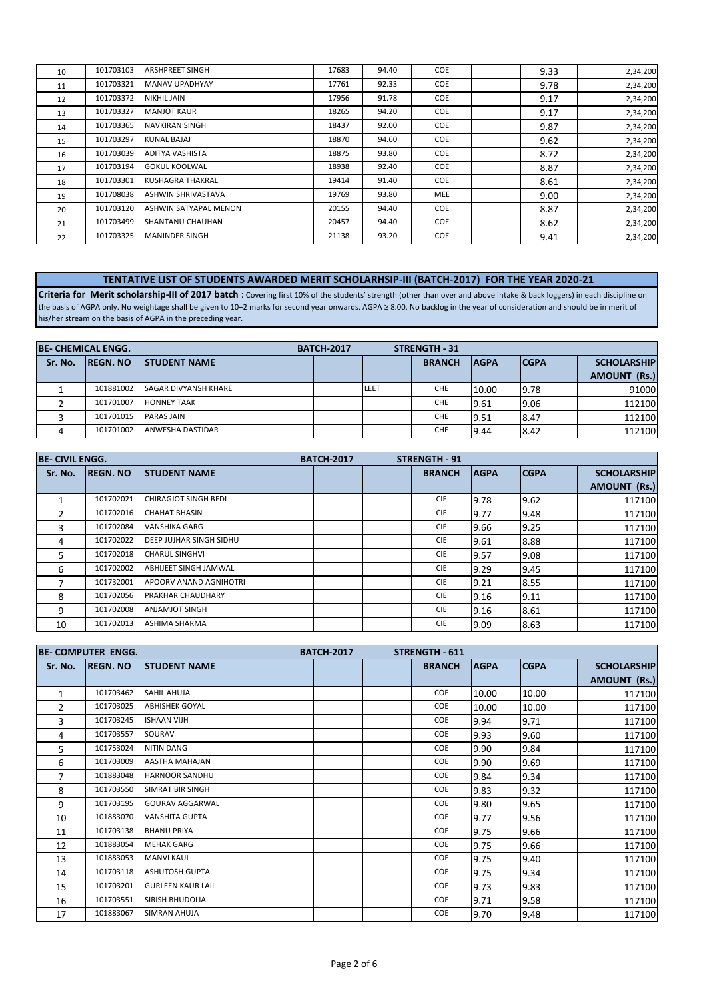| 10 | 101703103 | <b>ARSHPREET SINGH</b>    | 17683 | 94.40 | COE        | 9.33 | 2,34,200 |
|----|-----------|---------------------------|-------|-------|------------|------|----------|
| 11 | 101703321 | <b>MANAV UPADHYAY</b>     | 17761 | 92.33 | <b>COE</b> | 9.78 | 2,34,200 |
| 12 | 101703372 | <b>NIKHIL JAIN</b>        | 17956 | 91.78 | <b>COE</b> | 9.17 | 2,34,200 |
| 13 | 101703327 | <b>MANJOT KAUR</b>        | 18265 | 94.20 | <b>COE</b> | 9.17 | 2,34,200 |
| 14 | 101703365 | <b>NAVKIRAN SINGH</b>     | 18437 | 92.00 | <b>COE</b> | 9.87 | 2,34,200 |
| 15 | 101703297 | <b>KUNAL BAJAJ</b>        | 18870 | 94.60 | <b>COE</b> | 9.62 | 2,34,200 |
| 16 | 101703039 | <b>ADITYA VASHISTA</b>    | 18875 | 93.80 | COE        | 8.72 | 2,34,200 |
| 17 | 101703194 | <b>GOKUL KOOLWAL</b>      | 18938 | 92.40 | COE        | 8.87 | 2,34,200 |
| 18 | 101703301 | <b>KUSHAGRA THAKRAL</b>   | 19414 | 91.40 | COE        | 8.61 | 2,34,200 |
| 19 | 101708038 | <b>ASHWIN SHRIVASTAVA</b> | 19769 | 93.80 | <b>MEE</b> | 9.00 | 2,34,200 |
| 20 | 101703120 | ASHWIN SATYAPAL MENON     | 20155 | 94.40 | COE        | 8.87 | 2,34,200 |
| 21 | 101703499 | <b>SHANTANU CHAUHAN</b>   | 20457 | 94.40 | <b>COE</b> | 8.62 | 2,34,200 |
| 22 | 101703325 | <b>MANINDER SINGH</b>     | 21138 | 93.20 | COE        | 9.41 | 2,34,200 |

# **TENTATIVE LIST OF STUDENTS AWARDED MERIT SCHOLARHSIP-III (BATCH-2017) FOR THE YEAR 2020-21**

**Criteria for Merit scholarship-III of 2017 batch** : Covering first 10% of the students' strength (other than over and above intake & back loggers) in each discipline on the basis of AGPA only. No weightage shall be given to 10+2 marks for second year onwards. AGPA ≥ 8.00, No backlog in the year of consideration and should be in merit of his/her stream on the basis of AGPA in the preceding year.

|         | <b>BE- CHEMICAL ENGG.</b> |                             | <b>BATCH-2017</b> |               | <b>STRENGTH - 31</b> |             |             |                    |
|---------|---------------------------|-----------------------------|-------------------|---------------|----------------------|-------------|-------------|--------------------|
| Sr. No. | <b>REGN. NO</b>           | <b>ISTUDENT NAME</b>        |                   | <b>BRANCH</b> |                      | <b>AGPA</b> | <b>CGPA</b> | <b>SCHOLARSHIP</b> |
|         |                           |                             |                   |               |                      |             |             | AMOUNT (Rs.)       |
|         | 101881002                 | <b>SAGAR DIVYANSH KHARE</b> |                   | LEET          | <b>CHE</b>           | 10.00       | 9.78        | 91000              |
|         | 101701007                 | <b>HONNEY TAAK</b>          |                   |               | <b>CHE</b>           | 9.61        | 9.06        | 112100             |
|         | 101701015                 | <b>PARAS JAIN</b>           |                   |               | <b>CHE</b>           | 9.51        | 8.47        | 112100             |
|         | 101701002                 | <b>ANWESHA DASTIDAR</b>     |                   |               | <b>CHE</b>           | 9.44        | 8.42        | 112100             |

| <b>BE-CIVIL ENGG.</b> |                  |                                  | <b>BATCH-2017</b> | <b>STRENGTH - 91</b> |             |             |                     |
|-----------------------|------------------|----------------------------------|-------------------|----------------------|-------------|-------------|---------------------|
| Sr. No.               | <b>IREGN. NO</b> | <b>STUDENT NAME</b>              |                   | <b>BRANCH</b>        | <b>AGPA</b> | <b>CGPA</b> | <b>SCHOLARSHIP</b>  |
|                       |                  |                                  |                   |                      |             |             | <b>AMOUNT (Rs.)</b> |
|                       | 101702021        | <b>CHIRAGJOT SINGH BEDI</b>      |                   | <b>CIE</b>           | 9.78        | 9.62        | 117100              |
|                       | 101702016        | <b>CHAHAT BHASIN</b>             |                   | <b>CIE</b>           | 9.77        | 9.48        | 117100              |
| 3                     | 101702084        | <b>VANSHIKA GARG</b>             |                   | <b>CIE</b>           | 9.66        | 9.25        | 117100              |
| 4                     | 101702022        | <b>I</b> DEEP JUJHAR SINGH SIDHU |                   | <b>CIE</b>           | 9.61        | 8.88        | 117100              |
| 5.                    | 101702018        | <b>CHARUL SINGHVI</b>            |                   | <b>CIE</b>           | 9.57        | 9.08        | 117100              |
| 6                     | 101702002        | ABHIJEET SINGH JAMWAL            |                   | <b>CIE</b>           | 9.29        | 9.45        | 117100              |
|                       | 101732001        | APOORV ANAND AGNIHOTRI           |                   | <b>CIE</b>           | 9.21        | 8.55        | 117100              |
| 8                     | 101702056        | <b>PRAKHAR CHAUDHARY</b>         |                   | <b>CIE</b>           | 9.16        | 9.11        | 117100              |
| 9                     | 101702008        | <b>ANJAMJOT SINGH</b>            |                   | <b>CIE</b>           | 9.16        | 8.61        | 117100              |
| 10                    | 101702013        | <b>ASHIMA SHARMA</b>             |                   | <b>CIE</b>           | 9.09        | 8.63        | 117100              |

|              | <b>BE- COMPUTER ENGG.</b> |                          | <b>BATCH-2017</b> | <b>STRENGTH - 611</b> |             |             |                    |
|--------------|---------------------------|--------------------------|-------------------|-----------------------|-------------|-------------|--------------------|
| Sr. No.      | <b>REGN. NO</b>           | <b>STUDENT NAME</b>      |                   | <b>BRANCH</b>         | <b>AGPA</b> | <b>CGPA</b> | <b>SCHOLARSHIP</b> |
|              |                           |                          |                   |                       |             |             | AMOUNT (Rs.)       |
| $\mathbf{1}$ | 101703462                 | <b>SAHIL AHUJA</b>       |                   | COE                   | 10.00       | 10.00       | 117100             |
| 2            | 101703025                 | <b>ABHISHEK GOYAL</b>    |                   | <b>COE</b>            | 10.00       | 10.00       | 117100             |
| 3            | 101703245                 | <b>ISHAAN VIJH</b>       |                   | <b>COE</b>            | 9.94        | 9.71        | 117100             |
| 4            | 101703557                 | SOURAV                   |                   | <b>COE</b>            | 9.93        | 9.60        | 117100             |
| 5            | 101753024                 | <b>NITIN DANG</b>        |                   | <b>COE</b>            | 9.90        | 9.84        | 117100             |
| 6            | 101703009                 | AASTHA MAHAJAN           |                   | <b>COE</b>            | 9.90        | 9.69        | 117100             |
| 7            | 101883048                 | <b>HARNOOR SANDHU</b>    |                   | <b>COE</b>            | 9.84        | 9.34        | 117100             |
| 8            | 101703550                 | SIMRAT BIR SINGH         |                   | <b>COE</b>            | 9.83        | 9.32        | 117100             |
| 9            | 101703195                 | <b>GOURAV AGGARWAL</b>   |                   | <b>COE</b>            | 9.80        | 9.65        | 117100             |
| 10           | 101883070                 | <b>VANSHITA GUPTA</b>    |                   | <b>COE</b>            | 9.77        | 9.56        | 117100             |
| 11           | 101703138                 | <b>BHANU PRIYA</b>       |                   | <b>COE</b>            | 9.75        | 9.66        | 117100             |
| 12           | 101883054                 | <b>MEHAK GARG</b>        |                   | <b>COE</b>            | 9.75        | 9.66        | 117100             |
| 13           | 101883053                 | <b>MANVI KAUL</b>        |                   | <b>COE</b>            | 9.75        | 9.40        | 117100             |
| 14           | 101703118                 | <b>ASHUTOSH GUPTA</b>    |                   | <b>COE</b>            | 9.75        | 9.34        | 117100             |
| 15           | 101703201                 | <b>GURLEEN KAUR LAIL</b> |                   | COE                   | 9.73        | 9.83        | 117100             |
| 16           | 101703551                 | <b>SIRISH BHUDOLIA</b>   |                   | <b>COE</b>            | 9.71        | 9.58        | 117100             |
| 17           | 101883067                 | <b>SIMRAN AHUJA</b>      |                   | COE                   | 9.70        | 9.48        | 117100             |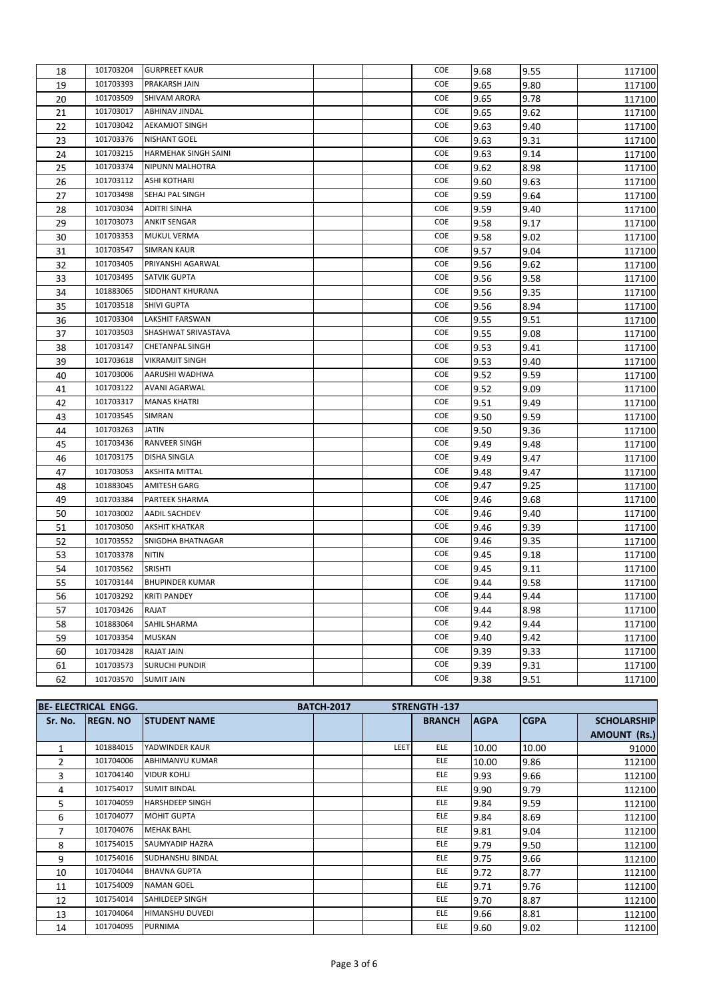| 18 | 101703204 | <b>GURPREET KAUR</b>        |  | <b>COE</b> | 9.68 | 9.55 | 117100 |
|----|-----------|-----------------------------|--|------------|------|------|--------|
| 19 | 101703393 | PRAKARSH JAIN               |  | COE        | 9.65 | 9.80 | 117100 |
| 20 | 101703509 | <b>SHIVAM ARORA</b>         |  | COE        | 9.65 | 9.78 | 117100 |
| 21 | 101703017 | <b>ABHINAV JINDAL</b>       |  | COE        | 9.65 | 9.62 | 117100 |
| 22 | 101703042 | <b>AEKAMJOT SINGH</b>       |  | COE        | 9.63 | 9.40 | 117100 |
| 23 | 101703376 | <b>NISHANT GOEL</b>         |  | COE        | 9.63 | 9.31 | 117100 |
| 24 | 101703215 | <b>HARMEHAK SINGH SAINI</b> |  | COE        | 9.63 | 9.14 | 117100 |
| 25 | 101703374 | NIPUNN MALHOTRA             |  | COE        | 9.62 | 8.98 | 117100 |
| 26 | 101703112 | <b>ASHI KOTHARI</b>         |  | COE        | 9.60 | 9.63 | 117100 |
| 27 | 101703498 | SEHAJ PAL SINGH             |  | COE        | 9.59 | 9.64 | 117100 |
| 28 | 101703034 | <b>ADITRI SINHA</b>         |  | COE        | 9.59 | 9.40 | 117100 |
| 29 | 101703073 | <b>ANKIT SENGAR</b>         |  | COE        | 9.58 | 9.17 | 117100 |
| 30 | 101703353 | <b>MUKUL VERMA</b>          |  | COE        | 9.58 | 9.02 | 117100 |
| 31 | 101703547 | <b>SIMRAN KAUR</b>          |  | COE        | 9.57 | 9.04 | 117100 |
| 32 | 101703405 | PRIYANSHI AGARWAL           |  | COE        | 9.56 | 9.62 | 117100 |
| 33 | 101703495 | <b>SATVIK GUPTA</b>         |  | COE        | 9.56 | 9.58 | 117100 |
| 34 | 101883065 | SIDDHANT KHURANA            |  | COE        | 9.56 | 9.35 | 117100 |
| 35 | 101703518 | SHIVI GUPTA                 |  | COE        | 9.56 | 8.94 | 117100 |
| 36 | 101703304 | LAKSHIT FARSWAN             |  | COE        | 9.55 | 9.51 | 117100 |
| 37 | 101703503 | SHASHWAT SRIVASTAVA         |  | COE        | 9.55 | 9.08 | 117100 |
| 38 | 101703147 | CHETANPAL SINGH             |  | COE        | 9.53 | 9.41 | 117100 |
| 39 | 101703618 | <b>VIKRAMJIT SINGH</b>      |  | <b>COE</b> | 9.53 | 9.40 | 117100 |
| 40 | 101703006 | AARUSHI WADHWA              |  | COE        | 9.52 | 9.59 | 117100 |
| 41 | 101703122 | <b>AVANI AGARWAL</b>        |  | COE        | 9.52 | 9.09 | 117100 |
| 42 | 101703317 | <b>MANAS KHATRI</b>         |  | COE        | 9.51 | 9.49 | 117100 |
| 43 | 101703545 | SIMRAN                      |  | COE        | 9.50 | 9.59 | 117100 |
| 44 | 101703263 | <b>JATIN</b>                |  | COE        | 9.50 | 9.36 | 117100 |
| 45 | 101703436 | <b>RANVEER SINGH</b>        |  | COE        | 9.49 | 9.48 | 117100 |
| 46 | 101703175 | DISHA SINGLA                |  | COE        | 9.49 | 9.47 | 117100 |
| 47 | 101703053 | AKSHITA MITTAL              |  | COE        | 9.48 | 9.47 | 117100 |
| 48 | 101883045 | AMITESH GARG                |  | COE        | 9.47 | 9.25 | 117100 |
| 49 | 101703384 | PARTEEK SHARMA              |  | COE        | 9.46 | 9.68 | 117100 |
| 50 | 101703002 | AADIL SACHDEV               |  | COE        | 9.46 | 9.40 | 117100 |
| 51 | 101703050 | <b>AKSHIT KHATKAR</b>       |  | COE        | 9.46 | 9.39 | 117100 |
| 52 | 101703552 | SNIGDHA BHATNAGAR           |  | COE        | 9.46 | 9.35 | 117100 |
| 53 | 101703378 | <b>NITIN</b>                |  | COE        | 9.45 | 9.18 | 117100 |
| 54 | 101703562 | SRISHTI                     |  | COE        | 9.45 | 9.11 | 117100 |
| 55 | 101703144 | <b>BHUPINDER KUMAR</b>      |  | <b>COE</b> | 9.44 | 9.58 | 117100 |
| 56 | 101703292 | <b>KRITI PANDEY</b>         |  | COE        | 9.44 | 9.44 | 117100 |
| 57 | 101703426 | RAJAT                       |  | COE        | 9.44 | 8.98 | 117100 |
| 58 | 101883064 | SAHIL SHARMA                |  | COE        | 9.42 | 9.44 | 117100 |
| 59 | 101703354 | <b>MUSKAN</b>               |  | COE        | 9.40 | 9.42 | 117100 |
| 60 | 101703428 | RAJAT JAIN                  |  | COE        | 9.39 | 9.33 | 117100 |
| 61 | 101703573 | <b>SURUCHI PUNDIR</b>       |  | COE        | 9.39 | 9.31 | 117100 |
| 62 | 101703570 | <b>SUMIT JAIN</b>           |  | COE        | 9.38 | 9.51 | 117100 |

|         | <b>BE- ELECTRICAL ENGG.</b> |                         | <b>BATCH-2017</b> |      | <b>STRENGTH-137</b> |             |             |                     |
|---------|-----------------------------|-------------------------|-------------------|------|---------------------|-------------|-------------|---------------------|
| Sr. No. | <b>REGN. NO</b>             | <b>STUDENT NAME</b>     |                   |      | <b>BRANCH</b>       | <b>AGPA</b> | <b>CGPA</b> | <b>SCHOLARSHIP</b>  |
|         |                             |                         |                   |      |                     |             |             | <b>AMOUNT (Rs.)</b> |
|         | 101884015                   | YADWINDER KAUR          |                   | LEET | <b>ELE</b>          | 10.00       | 10.00       | 91000               |
| 2       | 101704006                   | <b>ABHIMANYU KUMAR</b>  |                   |      | <b>ELE</b>          | 10.00       | 9.86        | 112100              |
| 3       | 101704140                   | <b>VIDUR KOHLI</b>      |                   |      | <b>ELE</b>          | 9.93        | 9.66        | 112100              |
| 4       | 101754017                   | <b>SUMIT BINDAL</b>     |                   |      | <b>ELE</b>          | 9.90        | 9.79        | 112100              |
| 5       | 101704059                   | <b>HARSHDEEP SINGH</b>  |                   |      | <b>ELE</b>          | 9.84        | 9.59        | 112100              |
| 6       | 101704077                   | <b>MOHIT GUPTA</b>      |                   |      | <b>ELE</b>          | 9.84        | 8.69        | 112100              |
| 7       | 101704076                   | <b>MEHAK BAHL</b>       |                   |      | ELE.                | 9.81        | 9.04        | 112100              |
| 8       | 101754015                   | <b>SAUMYADIP HAZRA</b>  |                   |      | <b>ELE</b>          | 9.79        | 9.50        | 112100              |
| 9       | 101754016                   | <b>SUDHANSHU BINDAL</b> |                   |      | <b>ELE</b>          | 9.75        | 9.66        | 112100              |
| 10      | 101704044                   | <b>BHAVNA GUPTA</b>     |                   |      | <b>ELE</b>          | 9.72        | 8.77        | 112100              |
| 11      | 101754009                   | <b>NAMAN GOEL</b>       |                   |      | <b>ELE</b>          | 9.71        | 9.76        | 112100              |
| 12      | 101754014                   | SAHILDEEP SINGH         |                   |      | <b>ELE</b>          | 9.70        | 8.87        | 112100              |
| 13      | 101704064                   | HIMANSHU DUVEDI         |                   |      | <b>ELE</b>          | 9.66        | 8.81        | 112100              |
| 14      | 101704095                   | <b>PURNIMA</b>          |                   |      | <b>ELE</b>          | 9.60        | 9.02        | 112100              |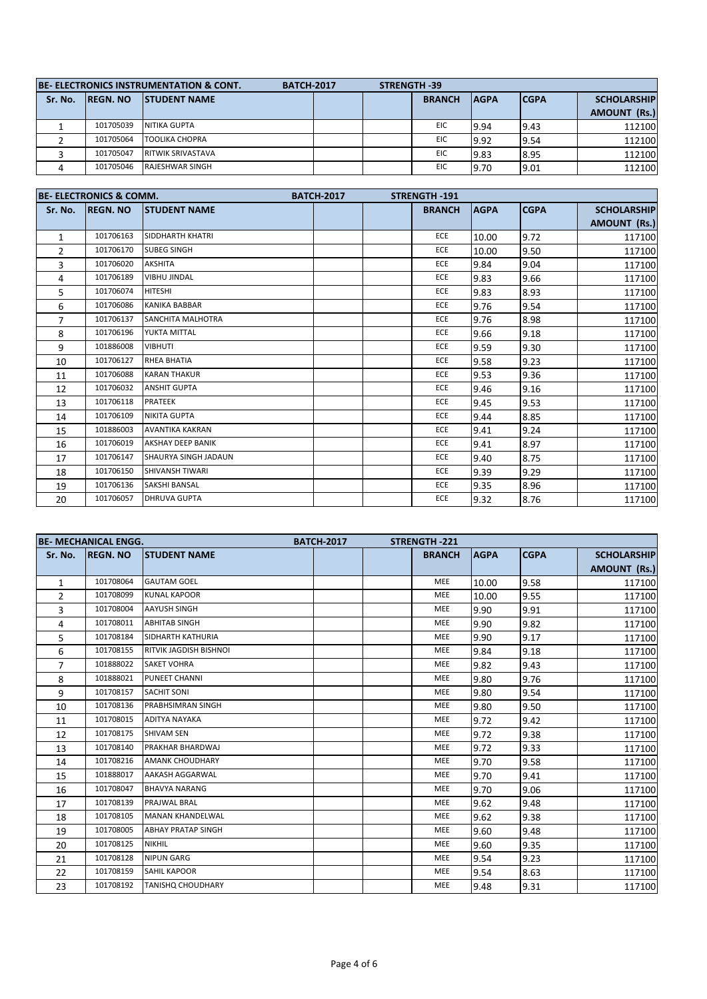| <b>BE-ELECTRONICS INSTRUMENTATION &amp; CONT.</b><br><b>BATCH-2017</b> |                  |                          |  |  | <b>STRENGTH-39</b> |             |             |                        |
|------------------------------------------------------------------------|------------------|--------------------------|--|--|--------------------|-------------|-------------|------------------------|
| Sr. No.                                                                | <b>IREGN. NO</b> | <b>ISTUDENT NAME</b>     |  |  | <b>BRANCH</b>      | <b>AGPA</b> | <b>CGPA</b> | <b>SCHOLARSHIP</b>     |
|                                                                        |                  |                          |  |  |                    |             |             | (Rs.)<br><b>AMOUNT</b> |
|                                                                        | 101705039        | <b>NITIKA GUPTA</b>      |  |  | EIC                | 9.94        | 9.43        | 112100                 |
|                                                                        | 101705064        | <b>TOOLIKA CHOPRA</b>    |  |  | <b>EIC</b>         | 9.92        | 9.54        | 112100                 |
|                                                                        | 101705047        | <b>RITWIK SRIVASTAVA</b> |  |  | EIC                | 9.83        | 8.95        | 112100                 |
|                                                                        | 101705046        | <b>RAJESHWAR SINGH</b>   |  |  | EIC                | 9.70        | 9.01        | 112100                 |

|                | <b>BE- ELECTRONICS &amp; COMM.</b> |                             | <b>BATCH-2017</b> | STRENGTH-191  |             |             |                    |
|----------------|------------------------------------|-----------------------------|-------------------|---------------|-------------|-------------|--------------------|
| Sr. No.        | <b>REGN. NO</b>                    | <b>STUDENT NAME</b>         |                   | <b>BRANCH</b> | <b>AGPA</b> | <b>CGPA</b> | <b>SCHOLARSHIP</b> |
|                |                                    |                             |                   |               |             |             | AMOUNT (Rs.)       |
| $\mathbf{1}$   | 101706163                          | SIDDHARTH KHATRI            |                   | <b>ECE</b>    | 10.00       | 9.72        | 117100             |
| $\overline{2}$ | 101706170                          | <b>SUBEG SINGH</b>          |                   | <b>ECE</b>    | 10.00       | 9.50        | 117100             |
| 3              | 101706020                          | <b>AKSHITA</b>              |                   | ECE           | 9.84        | 9.04        | 117100             |
| 4              | 101706189                          | <b>VIBHU JINDAL</b>         |                   | ECE           | 9.83        | 9.66        | 117100             |
| 5              | 101706074                          | <b>HITESHI</b>              |                   | ECE           | 9.83        | 8.93        | 117100             |
| 6              | 101706086                          | <b>KANIKA BABBAR</b>        |                   | ECE           | 9.76        | 9.54        | 117100             |
| $\overline{7}$ | 101706137                          | <b>SANCHITA MALHOTRA</b>    |                   | <b>ECE</b>    | 9.76        | 8.98        | 117100             |
| 8              | 101706196                          | YUKTA MITTAL                |                   | ECE           | 9.66        | 9.18        | 117100             |
| 9              | 101886008                          | <b>VIBHUTI</b>              |                   | ECE           | 9.59        | 9.30        | 117100             |
| 10             | 101706127                          | <b>RHEA BHATIA</b>          |                   | <b>ECE</b>    | 9.58        | 9.23        | 117100             |
| 11             | 101706088                          | <b>KARAN THAKUR</b>         |                   | ECE           | 9.53        | 9.36        | 117100             |
| 12             | 101706032                          | <b>ANSHIT GUPTA</b>         |                   | <b>ECE</b>    | 9.46        | 9.16        | 117100             |
| 13             | 101706118                          | <b>PRATEEK</b>              |                   | ECE           | 9.45        | 9.53        | 117100             |
| 14             | 101706109                          | <b>NIKITA GUPTA</b>         |                   | ECE           | 9.44        | 8.85        | 117100             |
| 15             | 101886003                          | <b>AVANTIKA KAKRAN</b>      |                   | ECE           | 9.41        | 9.24        | 117100             |
| 16             | 101706019                          | <b>AKSHAY DEEP BANIK</b>    |                   | ECE           | 9.41        | 8.97        | 117100             |
| 17             | 101706147                          | <b>SHAURYA SINGH JADAUN</b> |                   | ECE           | 9.40        | 8.75        | 117100             |
| 18             | 101706150                          | SHIVANSH TIWARI             |                   | ECE           | 9.39        | 9.29        | 117100             |
| 19             | 101706136                          | SAKSHI BANSAL               |                   | ECE           | 9.35        | 8.96        | 117100             |
| 20             | 101706057                          | <b>DHRUVA GUPTA</b>         |                   | ECE           | 9.32        | 8.76        | 117100             |

|              | <b>BE- MECHANICAL ENGG.</b> |                               | <b>BATCH-2017</b> | <b>STRENGTH-221</b> |             |             |                    |
|--------------|-----------------------------|-------------------------------|-------------------|---------------------|-------------|-------------|--------------------|
| Sr. No.      | <b>REGN. NO</b>             | <b>STUDENT NAME</b>           |                   | <b>BRANCH</b>       | <b>AGPA</b> | <b>CGPA</b> | <b>SCHOLARSHIP</b> |
|              |                             |                               |                   |                     |             |             | AMOUNT (Rs.)       |
| $\mathbf{1}$ | 101708064                   | <b>GAUTAM GOEL</b>            |                   | <b>MEE</b>          | 10.00       | 9.58        | 117100             |
| 2            | 101708099                   | KUNAL KAPOOR                  |                   | <b>MEE</b>          | 10.00       | 9.55        | 117100             |
| 3            | 101708004                   | <b>AAYUSH SINGH</b>           |                   | <b>MEE</b>          | 9.90        | 9.91        | 117100             |
| 4            | 101708011                   | <b>ABHITAB SINGH</b>          |                   | MEE                 | 9.90        | 9.82        | 117100             |
| 5            | 101708184                   | SIDHARTH KATHURIA             |                   | <b>MEE</b>          | 9.90        | 9.17        | 117100             |
| 6            | 101708155                   | <b>RITVIK JAGDISH BISHNOL</b> |                   | <b>MEE</b>          | 9.84        | 9.18        | 117100             |
| 7            | 101888022                   | <b>SAKET VOHRA</b>            |                   | <b>MEE</b>          | 9.82        | 9.43        | 117100             |
| 8            | 101888021                   | PUNEET CHANNI                 |                   | MEE                 | 9.80        | 9.76        | 117100             |
| 9            | 101708157                   | <b>SACHIT SONI</b>            |                   | <b>MEE</b>          | 9.80        | 9.54        | 117100             |
| 10           | 101708136                   | PRABHSIMRAN SINGH             |                   | MEE                 | 9.80        | 9.50        | 117100             |
| 11           | 101708015                   | <b>ADITYA NAYAKA</b>          |                   | <b>MEE</b>          | 9.72        | 9.42        | 117100             |
| 12           | 101708175                   | <b>SHIVAM SEN</b>             |                   | <b>MEE</b>          | 9.72        | 9.38        | 117100             |
| 13           | 101708140                   | PRAKHAR BHARDWAJ              |                   | <b>MEE</b>          | 9.72        | 9.33        | 117100             |
| 14           | 101708216                   | <b>AMANK CHOUDHARY</b>        |                   | <b>MEE</b>          | 9.70        | 9.58        | 117100             |
| 15           | 101888017                   | AAKASH AGGARWAL               |                   | <b>MEE</b>          | 9.70        | 9.41        | 117100             |
| 16           | 101708047                   | <b>BHAVYA NARANG</b>          |                   | MEE                 | 9.70        | 9.06        | 117100             |
| 17           | 101708139                   | <b>PRAJWAL BRAL</b>           |                   | <b>MEE</b>          | 9.62        | 9.48        | 117100             |
| 18           | 101708105                   | <b>MANAN KHANDELWAL</b>       |                   | <b>MEE</b>          | 9.62        | 9.38        | 117100             |
| 19           | 101708005                   | <b>ABHAY PRATAP SINGH</b>     |                   | <b>MEE</b>          | 9.60        | 9.48        | 117100             |
| 20           | 101708125                   | <b>NIKHIL</b>                 |                   | <b>MEE</b>          | 9.60        | 9.35        | 117100             |
| 21           | 101708128                   | <b>NIPUN GARG</b>             |                   | <b>MEE</b>          | 9.54        | 9.23        | 117100             |
| 22           | 101708159                   | <b>SAHIL KAPOOR</b>           |                   | <b>MEE</b>          | 9.54        | 8.63        | 117100             |
| 23           | 101708192                   | <b>TANISHQ CHOUDHARY</b>      |                   | MEE                 | 9.48        | 9.31        | 117100             |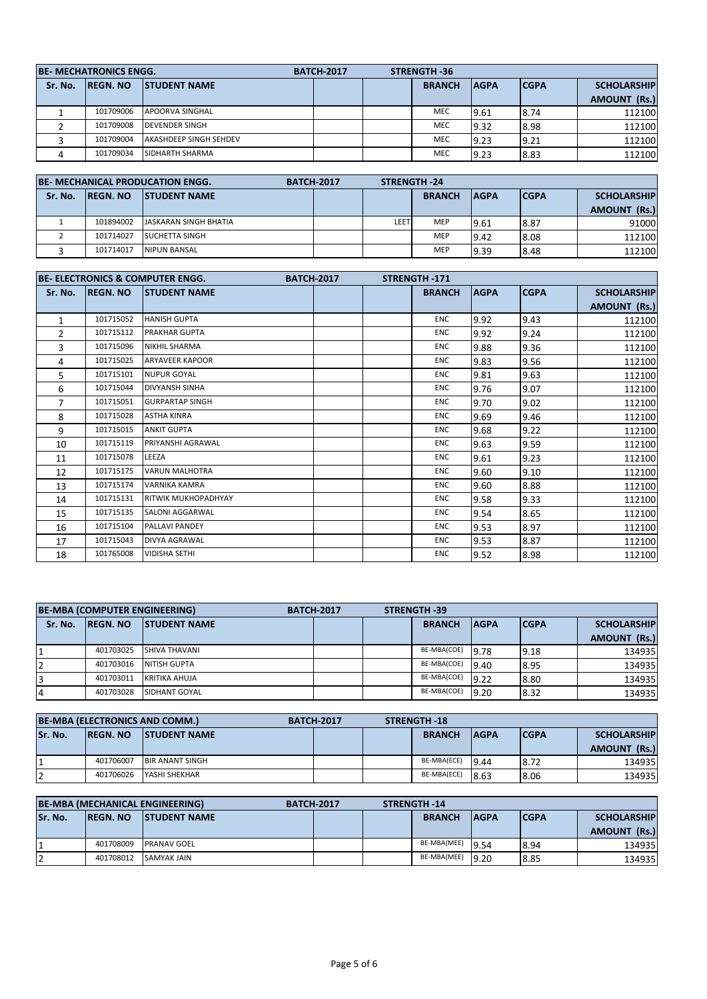|         | <b>BE-MECHATRONICS ENGG.</b>             |                               | <b>BATCH-2017</b> | <b>STRENGTH-36</b>           |      |             |                    |
|---------|------------------------------------------|-------------------------------|-------------------|------------------------------|------|-------------|--------------------|
| Sr. No. | <b>ISTUDENT NAME</b><br><b>IREGN. NO</b> |                               |                   | <b>BRANCH</b><br><b>AGPA</b> |      | <b>CGPA</b> | <b>SCHOLARSHIP</b> |
|         |                                          |                               |                   |                              |      |             | AMOUNT (Rs.)       |
|         | 101709006                                | <b>APOORVA SINGHAL</b>        |                   | <b>MEC</b>                   | 9.61 | 8.74        | 112100             |
|         | 101709008                                | <b>DEVENDER SINGH</b>         |                   | <b>MEC</b>                   | 9.32 | 8.98        | 112100             |
|         | 101709004                                | <b>AKASHDEEP SINGH SEHDEV</b> |                   | <b>MEC</b>                   | 9.23 | 9.21        | 112100             |
|         | 101709034                                | <b>SIDHARTH SHARMA</b>        |                   | <b>MEC</b>                   | 9.23 | 8.83        | 112100             |

| <b>BE-MECHANICAL PRODUCATION ENGG.</b> |                  |                        | <b>BATCH-2017</b> |      | <b>STRENGTH-24</b> |             |             |                        |
|----------------------------------------|------------------|------------------------|-------------------|------|--------------------|-------------|-------------|------------------------|
| Sr. No.                                | <b>IREGN. NO</b> | <b>ISTUDENT NAME</b>   |                   |      | <b>BRANCH</b>      | <b>AGPA</b> | <b>CGPA</b> | <b>SCHOLARSHIP</b>     |
|                                        |                  |                        |                   |      |                    |             |             | (Rs.)<br><b>AMOUNT</b> |
|                                        | 101894002        | JASKARAN SINGH BHATIA  |                   | LEET | <b>MEP</b>         | 9.61        | 8.87        | 91000                  |
|                                        | 101714027        | <b>ISUCHETTA SINGH</b> |                   |      | <b>MEP</b>         | 9.42        | 8.08        | 112100                 |
|                                        | 101714017        | NIPUN BANSAL           |                   |      | <b>MEP</b>         | 9.39        | 8.48        | 112100                 |

|                |                 | <b>BE- ELECTRONICS &amp; COMPUTER ENGG.</b><br><b>BATCH-2017</b> | <b>STRENGTH-171</b> |             |             |                                    |
|----------------|-----------------|------------------------------------------------------------------|---------------------|-------------|-------------|------------------------------------|
| Sr. No.        | <b>REGN. NO</b> | <b>ISTUDENT NAME</b>                                             | <b>BRANCH</b>       | <b>AGPA</b> | <b>CGPA</b> | <b>SCHOLARSHIP</b><br>AMOUNT (Rs.) |
| 1              | 101715052       | <b>HANISH GUPTA</b>                                              | <b>ENC</b>          | 9.92        | 9.43        | 112100                             |
| $\overline{2}$ | 101715112       | <b>PRAKHAR GUPTA</b>                                             | <b>ENC</b>          | 9.92        | 9.24        | 112100                             |
| 3              | 101715096       | <b>NIKHIL SHARMA</b>                                             | <b>ENC</b>          | 9.88        | 9.36        | 112100                             |
| 4              | 101715025       | <b>ARYAVEER KAPOOR</b>                                           | <b>ENC</b>          | 9.83        | 9.56        | 112100                             |
| 5              | 101715101       | <b>NUPUR GOYAL</b>                                               | <b>ENC</b>          | 9.81        | 9.63        | 112100                             |
| 6              | 101715044       | <b>DIVYANSH SINHA</b>                                            | <b>ENC</b>          | 9.76        | 9.07        | 112100                             |
| 7              | 101715051       | <b>GURPARTAP SINGH</b>                                           | <b>ENC</b>          | 9.70        | 9.02        | 112100                             |
| 8              | 101715028       | <b>ASTHA KINRA</b>                                               | <b>ENC</b>          | 9.69        | 9.46        | 112100                             |
| 9              | 101715015       | <b>ANKIT GUPTA</b>                                               | <b>ENC</b>          | 9.68        | 9.22        | 112100                             |
| 10             | 101715119       | PRIYANSHI AGRAWAL                                                | <b>ENC</b>          | 9.63        | 9.59        | 112100                             |
| 11             | 101715078       | LEEZA                                                            | <b>ENC</b>          | 9.61        | 9.23        | 112100                             |
| 12             | 101715175       | <b>VARUN MALHOTRA</b>                                            | <b>ENC</b>          | 9.60        | 9.10        | 112100                             |
| 13             | 101715174       | <b>VARNIKA KAMRA</b>                                             | <b>ENC</b>          | 9.60        | 8.88        | 112100                             |
| 14             | 101715131       | <b>RITWIK MUKHOPADHYAY</b>                                       | <b>ENC</b>          | 9.58        | 9.33        | 112100                             |
| 15             | 101715135       | <b>SALONI AGGARWAL</b>                                           | <b>ENC</b>          | 9.54        | 8.65        | 112100                             |
| 16             | 101715104       | <b>PALLAVI PANDEY</b>                                            | <b>ENC</b>          | 9.53        | 8.97        | 112100                             |
| 17             | 101715043       | <b>DIVYA AGRAWAL</b>                                             | <b>ENC</b>          | 9.53        | 8.87        | 112100                             |
| 18             | 101765008       | <b>VIDISHA SETHI</b>                                             | <b>ENC</b>          | 9.52        | 8.98        | 112100                             |

| <b>BE-MBA (COMPUTER ENGINEERING)</b> |                  |                      | <b>BATCH-2017</b> | <b>STRENGTH-39</b> |               |             |             |                    |
|--------------------------------------|------------------|----------------------|-------------------|--------------------|---------------|-------------|-------------|--------------------|
| Sr. No.                              | <b>IREGN. NO</b> | <b>ISTUDENT NAME</b> |                   |                    | <b>BRANCH</b> | <b>AGPA</b> | <b>CGPA</b> | <b>SCHOLARSHIP</b> |
|                                      |                  |                      |                   |                    |               |             |             | AMOUNT (Rs.)       |
|                                      | 401703025        | SHIVA THAVANI        |                   |                    | BE-MBA(COE)   | 9.78        | 9.18        | 134935             |
| 12                                   | 401703016        | NITISH GUPTA         |                   |                    | BE-MBA(COE)   | 9.40        | 8.95        | 134935             |
| 3                                    | 401703011        | KRITIKA AHUJA        |                   |                    | BE-MBA(COE)   | 9.22        | 8.80        | 134935             |
| $\overline{4}$                       | 401703028        | SIDHANT GOYAL        |                   |                    | BE-MBA(COE)   | 9.20        | 8.32        | 134935             |

| <b>BE-MBA (ELECTRONICS AND COMM.)</b> |                  |                        | <b>BATCH-2017</b> | <b>STRENGTH-18</b> |               |             |             |                        |
|---------------------------------------|------------------|------------------------|-------------------|--------------------|---------------|-------------|-------------|------------------------|
| Sr. No.                               | <b>IREGN. NO</b> | <b>ISTUDENT NAME</b>   |                   |                    | <b>BRANCH</b> | <b>AGPA</b> | <b>CGPA</b> | <b>SCHOLARSHIP</b>     |
|                                       |                  |                        |                   |                    |               |             |             | (Rs.)<br><b>AMOUNT</b> |
|                                       | 401706007        | <b>BIR ANANT SINGH</b> |                   |                    | BE-MBA(ECE)   | 9.44        | 8.72        | 1349351                |
| 12                                    | 401706026        | YASHI SHEKHAR          |                   |                    | BE-MBA(ECE)   | 8.63        | 8.06        | 1349351                |

| <b>BE-MBA (MECHANICAL ENGINEERING)</b> |                  |                      | <b>BATCH-2017</b> | <b>STRENGTH-14</b> |               |             |             |                        |
|----------------------------------------|------------------|----------------------|-------------------|--------------------|---------------|-------------|-------------|------------------------|
| Sr. No.                                | <b>IREGN. NO</b> | <b>ISTUDENT NAME</b> |                   |                    | <b>BRANCH</b> | <b>AGPA</b> | <b>CGPA</b> | <b>SCHOLARSHIP</b>     |
|                                        |                  |                      |                   |                    |               |             |             | (Rs.)<br><b>AMOUNT</b> |
|                                        | 401708009        | <b>PRANAV GOEL</b>   |                   |                    | BE-MBA(MEE)   | 9.54        | 8.94        | 134935                 |
| 12                                     | 401708012        | <b>SAMYAK JAIN</b>   |                   |                    | BE-MBA(MEE)   | 9.20        | 8.85        | 134935                 |